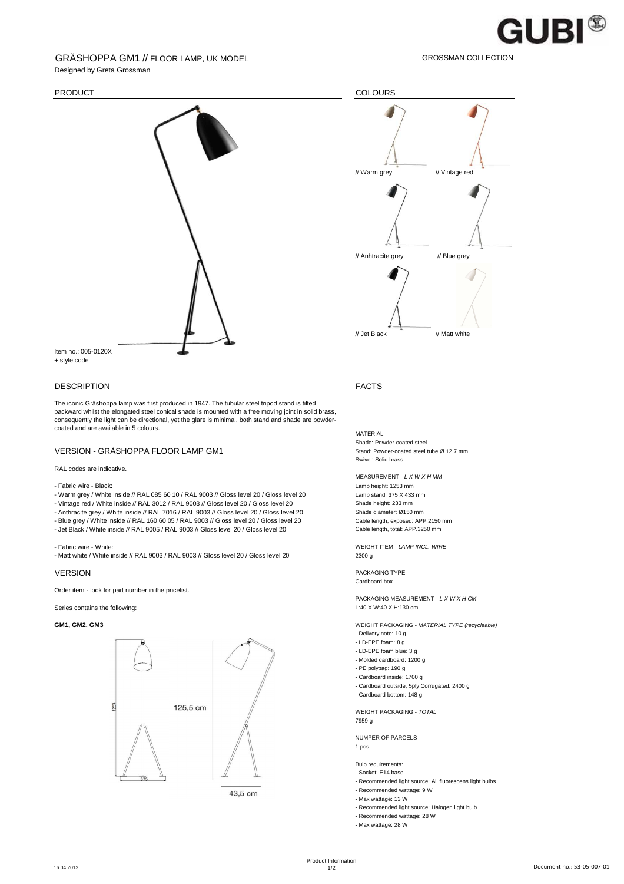## $\mathsf{GUBI}^\circledast$

## GRÄSHOPPA GM1 // FLOOR LAMP, UK MODEL GROSSMAN COLLECTION

## Designed by Greta Grossman



## DESCRIPTION FACTS

The iconic Gräshoppa lamp was first produced in 1947. The tubular steel tripod stand is tilted backward whilst the elongated steel conical shade is mounted with a free moving joint in solid brass, consequently the light can be directional, yet the glare is minimal, both stand and shade are powdercoated and are available in 5 colours.

## VERSION - GRÄSHOPPA FLOOR LAMP GM1 Stand: Powder-coated steel tube Ø 12,7 mm

## RAL codes are indicative.

- 
- Fabric wire Black:<br>- Warm grey / White inside // RAL 085 60 10 / RAL 9003 // Gloss level 20 / Gloss level 20 Lamp stand: 375 X 433 mm - Warm grey / White inside // RAL 085 60 10 / RAL 9003 // Gloss level 20 / Gloss level 20 Lamp stand: 375 X 433<br>- Vintage red / White inside // RAL 3012 / RAL 9003 // Gloss level 20 / Gloss level 20 Shade height: 233 mm
- Vintage red / White inside // RAL 3012 / RAL 9003 // Gloss level 20 / Gloss level 20 Shade height: 233 mm<br>- Anthracite grev / White inside // RAL 7016 / RAL 9003 // Gloss level 20 / Gloss level 20 Shade diameter: Ø150 mm
- Anthracite grey / White inside // RAL 7016 / RAL 9003 // Gloss level 20 / Gloss level 20 Shade diameter: Ø150 mm<br>- Blue grey / White inside // RAL 160 60 05 / RAL 9003 // Gloss level 20 / Gloss level 20 Cable length, exp
- Blue grey / White inside // RAL 160 60 05 / RAL 9003 // Gloss level 20 / Gloss level 20 - Jet Black / White inside // RAL 9005 / RAL 9003 // Gloss level 20 / Gloss level 20 Cable length, total: APP.3250 mm

- Matt white / White inside // RAL 9003 / RAL 9003 // Gloss level 20 / Gloss level 20 20 2300 g

Order item - look for part number in the pricelist.

Series contains the following: L:40 X W:40 X H:130 cm





43,5 cm



MATERIAL Shade: Powder-coated steel Swivel: Solid brass

MEASUREMENT - L X W X H MM

- Fabric wire - White: WEIGHT ITEM - LAMP INCL. WIRE

**VERSION** PACKAGING TYPE Cardboard box

PACKAGING MEASUREMENT - L X W X H CM

**GM1, GM2, GM3** WEIGHT PACKAGING - MATERIAL TYPE (recycleable)

- Delivery note: 10 g
- LD-EPE foam: 8 g - LD-EPE foam blue: 3 g
- Molded cardboard: 1200 g
- PE polybag: 190 g
- Cardboard inside: 1700 g
- Cardboard outside, 5ply Corrugated: 2400 g
- Cardboard bottom: 148 g

WEIGHT PACKAGING - TOTAL 7959 g

### NUMPER OF PARCELS 1 pcs.

## Bulb requirements:

- Socket: E14 base
- Recommended light source: All fluorescens light bulbs
- Recommended wattage: 9 W
- Max wattage: 13 W
- Recommended light source: Halogen light bulb
- Recommended wattage: 28 W
- Max wattage: 28 W